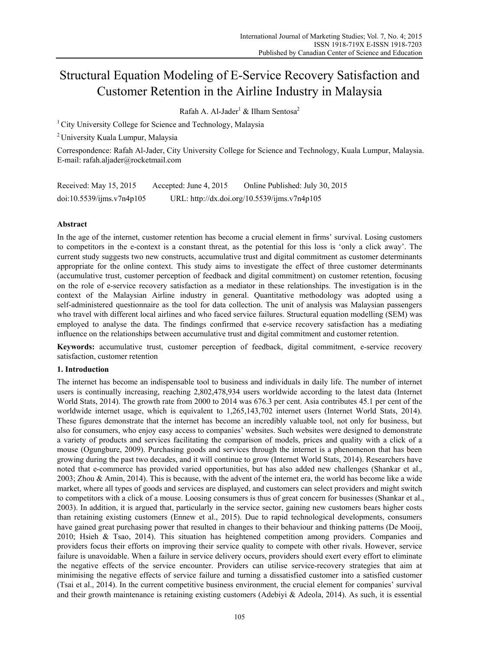# Structural Equation Modeling of E-Service Recovery Satisfaction and Customer Retention in the Airline Industry in Malaysia

Rafah A. Al-Jader $^1$  & Ilham Sentosa<sup>2</sup>

<sup>1</sup> City University College for Science and Technology, Malaysia

2 University Kuala Lumpur, Malaysia

Correspondence: Rafah Al-Jader, City University College for Science and Technology, Kuala Lumpur, Malaysia. E-mail: rafah.aljader@rocketmail.com

| Received: May 15, 2015    | Accepted: June 4, 2015 | Online Published: July 30, 2015              |
|---------------------------|------------------------|----------------------------------------------|
| doi:10.5539/ijms.v7n4p105 |                        | URL: http://dx.doi.org/10.5539/ijms.v7n4p105 |

# **Abstract**

In the age of the internet, customer retention has become a crucial element in firms' survival. Losing customers to competitors in the e-context is a constant threat, as the potential for this loss is 'only a click away'. The current study suggests two new constructs, accumulative trust and digital commitment as customer determinants appropriate for the online context. This study aims to investigate the effect of three customer determinants (accumulative trust, customer perception of feedback and digital commitment) on customer retention, focusing on the role of e-service recovery satisfaction as a mediator in these relationships. The investigation is in the context of the Malaysian Airline industry in general. Quantitative methodology was adopted using a self-administered questionnaire as the tool for data collection. The unit of analysis was Malaysian passengers who travel with different local airlines and who faced service failures. Structural equation modelling (SEM) was employed to analyse the data. The findings confirmed that e-service recovery satisfaction has a mediating influence on the relationships between accumulative trust and digital commitment and customer retention.

**Keywords:** accumulative trust, customer perception of feedback, digital commitment, e-service recovery satisfaction, customer retention

# **1. Introduction**

The internet has become an indispensable tool to business and individuals in daily life. The number of internet users is continually increasing, reaching 2,802,478,934 users worldwide according to the latest data (Internet World Stats, 2014). The growth rate from 2000 to 2014 was 676.3 per cent. Asia contributes 45.1 per cent of the worldwide internet usage, which is equivalent to 1,265,143,702 internet users (Internet World Stats, 2014). These figures demonstrate that the internet has become an incredibly valuable tool, not only for business, but also for consumers, who enjoy easy access to companies' websites. Such websites were designed to demonstrate a variety of products and services facilitating the comparison of models, prices and quality with a click of a mouse (Ogungbure, 2009). Purchasing goods and services through the internet is a phenomenon that has been growing during the past two decades, and it will continue to grow (Internet World Stats, 2014). Researchers have noted that e-commerce has provided varied opportunities, but has also added new challenges (Shankar et al., 2003; Zhou & Amin, 2014). This is because, with the advent of the internet era, the world has become like a wide market, where all types of goods and services are displayed, and customers can select providers and might switch to competitors with a click of a mouse. Loosing consumers is thus of great concern for businesses (Shankar et al., 2003). In addition, it is argued that, particularly in the service sector, gaining new customers bears higher costs than retaining existing customers (Ennew et al., 2015). Due to rapid technological developments, consumers have gained great purchasing power that resulted in changes to their behaviour and thinking patterns (De Mooij, 2010; Hsieh & Tsao, 2014). This situation has heightened competition among providers. Companies and providers focus their efforts on improving their service quality to compete with other rivals. However, service failure is unavoidable. When a failure in service delivery occurs, providers should exert every effort to eliminate the negative effects of the service encounter. Providers can utilise service-recovery strategies that aim at minimising the negative effects of service failure and turning a dissatisfied customer into a satisfied customer (Tsai et al., 2014). In the current competitive business environment, the crucial element for companies' survival and their growth maintenance is retaining existing customers (Adebiyi & Adeola, 2014). As such, it is essential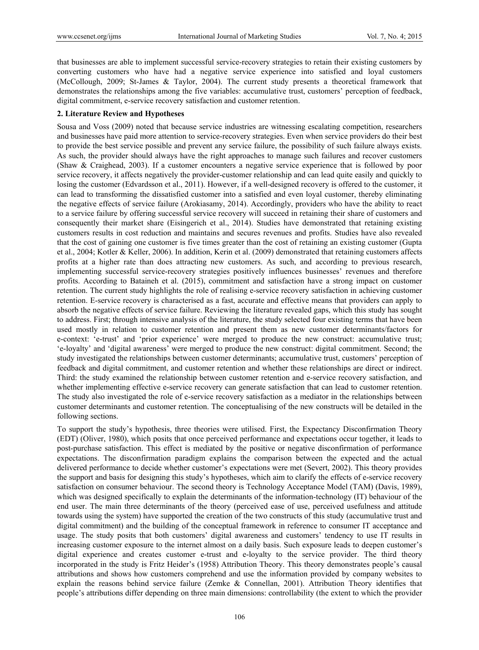that businesses are able to implement successful service-recovery strategies to retain their existing customers by converting customers who have had a negative service experience into satisfied and loyal customers (McCollough, 2009; St-James & Taylor, 2004). The current study presents a theoretical framework that demonstrates the relationships among the five variables: accumulative trust, customers' perception of feedback, digital commitment, e-service recovery satisfaction and customer retention.

## **2. Literature Review and Hypotheses**

Sousa and Voss (2009) noted that because service industries are witnessing escalating competition, researchers and businesses have paid more attention to service-recovery strategies. Even when service providers do their best to provide the best service possible and prevent any service failure, the possibility of such failure always exists. As such, the provider should always have the right approaches to manage such failures and recover customers (Shaw & Craighead, 2003). If a customer encounters a negative service experience that is followed by poor service recovery, it affects negatively the provider-customer relationship and can lead quite easily and quickly to losing the customer (Edvardsson et al., 2011). However, if a well-designed recovery is offered to the customer, it can lead to transforming the dissatisfied customer into a satisfied and even loyal customer, thereby eliminating the negative effects of service failure (Arokiasamy, 2014). Accordingly, providers who have the ability to react to a service failure by offering successful service recovery will succeed in retaining their share of customers and consequently their market share (Eisingerich et al., 2014). Studies have demonstrated that retaining existing customers results in cost reduction and maintains and secures revenues and profits. Studies have also revealed that the cost of gaining one customer is five times greater than the cost of retaining an existing customer (Gupta et al., 2004; Kotler & Keller, 2006). In addition, Kerin et al. (2009) demonstrated that retaining customers affects profits at a higher rate than does attracting new customers. As such, and according to previous research, implementing successful service-recovery strategies positively influences businesses' revenues and therefore profits. According to Bataineh et al. (2015), commitment and satisfaction have a strong impact on customer retention. The current study highlights the role of realising e-service recovery satisfaction in achieving customer retention. E-service recovery is characterised as a fast, accurate and effective means that providers can apply to absorb the negative effects of service failure. Reviewing the literature revealed gaps, which this study has sought to address. First; through intensive analysis of the literature, the study selected four existing terms that have been used mostly in relation to customer retention and present them as new customer determinants/factors for e-context: 'e-trust' and 'prior experience' were merged to produce the new construct: accumulative trust; 'e-loyalty' and 'digital awareness' were merged to produce the new construct: digital commitment. Second; the study investigated the relationships between customer determinants; accumulative trust, customers' perception of feedback and digital commitment, and customer retention and whether these relationships are direct or indirect. Third: the study examined the relationship between customer retention and e-service recovery satisfaction, and whether implementing effective e-service recovery can generate satisfaction that can lead to customer retention. The study also investigated the role of e-service recovery satisfaction as a mediator in the relationships between customer determinants and customer retention. The conceptualising of the new constructs will be detailed in the following sections.

To support the study's hypothesis, three theories were utilised. First, the Expectancy Disconfirmation Theory (EDT) (Oliver, 1980), which posits that once perceived performance and expectations occur together, it leads to post-purchase satisfaction. This effect is mediated by the positive or negative disconfirmation of performance expectations. The disconfirmation paradigm explains the comparison between the expected and the actual delivered performance to decide whether customer's expectations were met (Severt, 2002). This theory provides the support and basis for designing this study's hypotheses, which aim to clarify the effects of e-service recovery satisfaction on consumer behaviour. The second theory is Technology Acceptance Model (TAM) (Davis, 1989), which was designed specifically to explain the determinants of the information-technology (IT) behaviour of the end user. The main three determinants of the theory (perceived ease of use, perceived usefulness and attitude towards using the system) have supported the creation of the two constructs of this study (accumulative trust and digital commitment) and the building of the conceptual framework in reference to consumer IT acceptance and usage. The study posits that both customers' digital awareness and customers' tendency to use IT results in increasing customer exposure to the internet almost on a daily basis. Such exposure leads to deepen customer's digital experience and creates customer e-trust and e-loyalty to the service provider. The third theory incorporated in the study is Fritz Heider's (1958) Attribution Theory. This theory demonstrates people's causal attributions and shows how customers comprehend and use the information provided by company websites to explain the reasons behind service failure (Zemke & Connellan, 2001). Attribution Theory identifies that people's attributions differ depending on three main dimensions: controllability (the extent to which the provider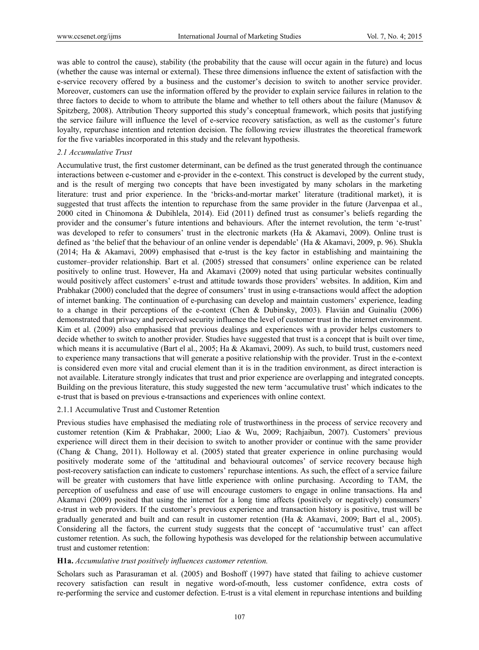was able to control the cause), stability (the probability that the cause will occur again in the future) and locus (whether the cause was internal or external). These three dimensions influence the extent of satisfaction with the e-service recovery offered by a business and the customer's decision to switch to another service provider. Moreover, customers can use the information offered by the provider to explain service failures in relation to the three factors to decide to whom to attribute the blame and whether to tell others about the failure (Manusov & Spitzberg, 2008). Attribution Theory supported this study's conceptual framework, which posits that justifying the service failure will influence the level of e-service recovery satisfaction, as well as the customer's future loyalty, repurchase intention and retention decision. The following review illustrates the theoretical framework for the five variables incorporated in this study and the relevant hypothesis.

#### *2.1 Accumulative Trust*

Accumulative trust, the first customer determinant, can be defined as the trust generated through the continuance interactions between e-customer and e-provider in the e-context. This construct is developed by the current study, and is the result of merging two concepts that have been investigated by many scholars in the marketing literature: trust and prior experience. In the 'bricks-and-mortar market' literature (traditional market), it is suggested that trust affects the intention to repurchase from the same provider in the future (Jarvenpaa et al., 2000 cited in Chinomona & Dubihlela, 2014). Eid (2011) defined trust as consumer's beliefs regarding the provider and the consumer's future intentions and behaviours. After the internet revolution, the term 'e-trust' was developed to refer to consumers' trust in the electronic markets (Ha & Akamavi, 2009). Online trust is defined as 'the belief that the behaviour of an online vender is dependable' (Ha & Akamavi, 2009, p. 96). Shukla (2014; Ha & Akamavi, 2009) emphasised that e-trust is the key factor in establishing and maintaining the customer–provider relationship. Bart et al. (2005) stressed that consumers' online experience can be related positively to online trust. However, Ha and Akamavi (2009) noted that using particular websites continually would positively affect customers' e-trust and attitude towards those providers' websites. In addition, Kim and Prabhakar (2000) concluded that the degree of consumers' trust in using e-transactions would affect the adoption of internet banking. The continuation of e-purchasing can develop and maintain customers' experience, leading to a change in their perceptions of the e-context (Chen & Dubinsky, 2003). Flavián and Guinalíu (2006) demonstrated that privacy and perceived security influence the level of customer trust in the internet environment. Kim et al. (2009) also emphasised that previous dealings and experiences with a provider helps customers to decide whether to switch to another provider. Studies have suggested that trust is a concept that is built over time, which means it is accumulative (Bart el al., 2005; Ha & Akamavi, 2009). As such, to build trust, customers need to experience many transactions that will generate a positive relationship with the provider. Trust in the e-context is considered even more vital and crucial element than it is in the tradition environment, as direct interaction is not available. Literature strongly indicates that trust and prior experience are overlapping and integrated concepts. Building on the previous literature, this study suggested the new term 'accumulative trust' which indicates to the e-trust that is based on previous e-transactions and experiences with online context.

#### 2.1.1 Accumulative Trust and Customer Retention

Previous studies have emphasised the mediating role of trustworthiness in the process of service recovery and customer retention (Kim & Prabhakar, 2000; Liao & Wu, 2009; Rachjaibun, 2007). Customers' previous experience will direct them in their decision to switch to another provider or continue with the same provider (Chang & Chang, 2011). Holloway et al. (2005) stated that greater experience in online purchasing would positively moderate some of the 'attitudinal and behavioural outcomes' of service recovery because high post-recovery satisfaction can indicate to customers' repurchase intentions. As such, the effect of a service failure will be greater with customers that have little experience with online purchasing. According to TAM, the perception of usefulness and ease of use will encourage customers to engage in online transactions. Ha and Akamavi (2009) posited that using the internet for a long time affects (positively or negatively) consumers' e-trust in web providers. If the customer's previous experience and transaction history is positive, trust will be gradually generated and built and can result in customer retention (Ha & Akamavi, 2009; Bart el al., 2005). Considering all the factors, the current study suggests that the concept of 'accumulative trust' can affect customer retention. As such, the following hypothesis was developed for the relationship between accumulative trust and customer retention:

## **H1a.** *Accumulative trust positively influences customer retention.*

Scholars such as Parasuraman et al. (2005) and Boshoff (1997) have stated that failing to achieve customer recovery satisfaction can result in negative word-of-mouth, less customer confidence, extra costs of re-performing the service and customer defection. E-trust is a vital element in repurchase intentions and building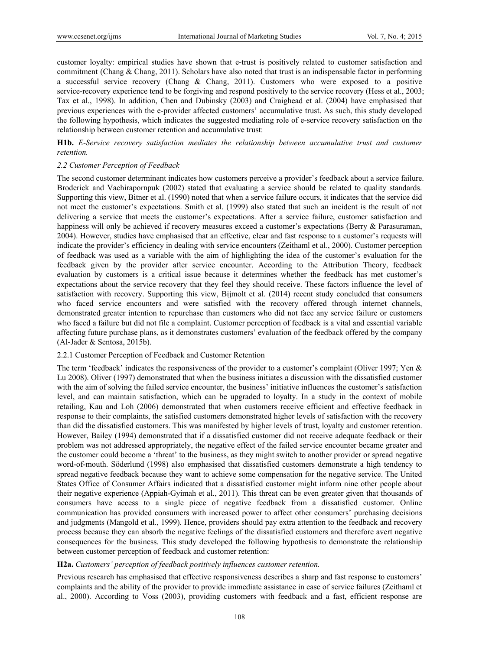customer loyalty: empirical studies have shown that e-trust is positively related to customer satisfaction and commitment (Chang & Chang, 2011). Scholars have also noted that trust is an indispensable factor in performing a successful service recovery (Chang & Chang, 2011). Customers who were exposed to a positive service-recovery experience tend to be forgiving and respond positively to the service recovery (Hess et al., 2003; Tax et al., 1998). In addition, Chen and Dubinsky (2003) and Craighead et al. (2004) have emphasised that previous experiences with the e-provider affected customers' accumulative trust. As such, this study developed the following hypothesis, which indicates the suggested mediating role of e-service recovery satisfaction on the relationship between customer retention and accumulative trust:

**H1b.** *E-Service recovery satisfaction mediates the relationship between accumulative trust and customer retention.* 

## *2.2 Customer Perception of Feedback*

The second customer determinant indicates how customers perceive a provider's feedback about a service failure. Broderick and Vachirapornpuk (2002) stated that evaluating a service should be related to quality standards. Supporting this view, Bitner et al. (1990) noted that when a service failure occurs, it indicates that the service did not meet the customer's expectations. Smith et al. (1999) also stated that such an incident is the result of not delivering a service that meets the customer's expectations. After a service failure, customer satisfaction and happiness will only be achieved if recovery measures exceed a customer's expectations (Berry & Parasuraman, 2004). However, studies have emphasised that an effective, clear and fast response to a customer's requests will indicate the provider's efficiency in dealing with service encounters (Zeithaml et al., 2000). Customer perception of feedback was used as a variable with the aim of highlighting the idea of the customer's evaluation for the feedback given by the provider after service encounter. According to the Attribution Theory, feedback evaluation by customers is a critical issue because it determines whether the feedback has met customer's expectations about the service recovery that they feel they should receive. These factors influence the level of satisfaction with recovery. Supporting this view, Bijmolt et al. (2014) recent study concluded that consumers who faced service encounters and were satisfied with the recovery offered through internet channels, demonstrated greater intention to repurchase than customers who did not face any service failure or customers who faced a failure but did not file a complaint. Customer perception of feedback is a vital and essential variable affecting future purchase plans, as it demonstrates customers' evaluation of the feedback offered by the company (Al-Jader & Sentosa, 2015b).

## 2.2.1 Customer Perception of Feedback and Customer Retention

The term 'feedback' indicates the responsiveness of the provider to a customer's complaint (Oliver 1997; Yen & Lu 2008). Oliver (1997) demonstrated that when the business initiates a discussion with the dissatisfied customer with the aim of solving the failed service encounter, the business' initiative influences the customer's satisfaction level, and can maintain satisfaction, which can be upgraded to loyalty. In a study in the context of mobile retailing, Kau and Loh (2006) demonstrated that when customers receive efficient and effective feedback in response to their complaints, the satisfied customers demonstrated higher levels of satisfaction with the recovery than did the dissatisfied customers. This was manifested by higher levels of trust, loyalty and customer retention. However, Bailey (1994) demonstrated that if a dissatisfied customer did not receive adequate feedback or their problem was not addressed appropriately, the negative effect of the failed service encounter became greater and the customer could become a 'threat' to the business, as they might switch to another provider or spread negative word-of-mouth. Söderlund (1998) also emphasised that dissatisfied customers demonstrate a high tendency to spread negative feedback because they want to achieve some compensation for the negative service. The United States Office of Consumer Affairs indicated that a dissatisfied customer might inform nine other people about their negative experience (Appiah-Gyimah et al., 2011). This threat can be even greater given that thousands of consumers have access to a single piece of negative feedback from a dissatisfied customer. Online communication has provided consumers with increased power to affect other consumers' purchasing decisions and judgments (Mangold et al., 1999). Hence, providers should pay extra attention to the feedback and recovery process because they can absorb the negative feelings of the dissatisfied customers and therefore avert negative consequences for the business. This study developed the following hypothesis to demonstrate the relationship between customer perception of feedback and customer retention:

## **H2a.** *Customers' perception of feedback positively influences customer retention.*

Previous research has emphasised that effective responsiveness describes a sharp and fast response to customers' complaints and the ability of the provider to provide immediate assistance in case of service failures (Zeithaml et al., 2000). According to Voss (2003), providing customers with feedback and a fast, efficient response are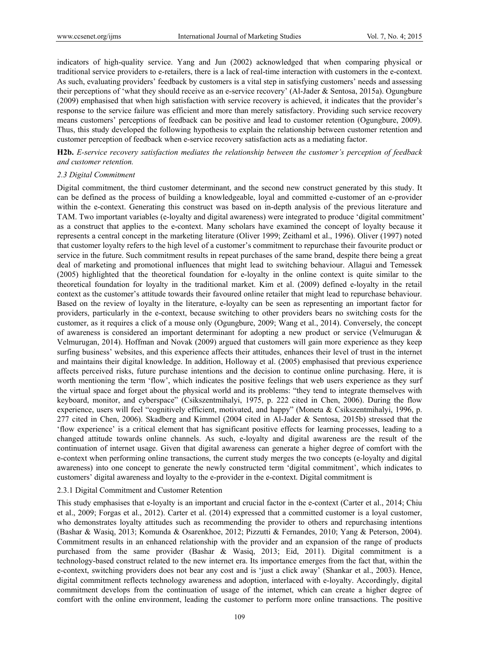indicators of high-quality service. Yang and Jun (2002) acknowledged that when comparing physical or traditional service providers to e-retailers, there is a lack of real-time interaction with customers in the e-context. As such, evaluating providers' feedback by customers is a vital step in satisfying customers' needs and assessing their perceptions of 'what they should receive as an e-service recovery' (Al-Jader & Sentosa, 2015a). Ogungbure (2009) emphasised that when high satisfaction with service recovery is achieved, it indicates that the provider's response to the service failure was efficient and more than merely satisfactory. Providing such service recovery means customers' perceptions of feedback can be positive and lead to customer retention (Ogungbure, 2009). Thus, this study developed the following hypothesis to explain the relationship between customer retention and customer perception of feedback when e-service recovery satisfaction acts as a mediating factor.

**H2b.** *E-service recovery satisfaction mediates the relationship between the customer's perception of feedback and customer retention.* 

## *2.3 Digital Commitment*

Digital commitment, the third customer determinant, and the second new construct generated by this study. It can be defined as the process of building a knowledgeable, loyal and committed e-customer of an e-provider within the e-context. Generating this construct was based on in-depth analysis of the previous literature and TAM. Two important variables (e-loyalty and digital awareness) were integrated to produce 'digital commitment' as a construct that applies to the e-context. Many scholars have examined the concept of loyalty because it represents a central concept in the marketing literature (Oliver 1999; Zeithaml et al., 1996). Oliver (1997) noted that customer loyalty refers to the high level of a customer's commitment to repurchase their favourite product or service in the future. Such commitment results in repeat purchases of the same brand, despite there being a great deal of marketing and promotional influences that might lead to switching behaviour. Allagui and Temessek (2005) highlighted that the theoretical foundation for e-loyalty in the online context is quite similar to the theoretical foundation for loyalty in the traditional market. Kim et al. (2009) defined e-loyalty in the retail context as the customer's attitude towards their favoured online retailer that might lead to repurchase behaviour. Based on the review of loyalty in the literature, e-loyalty can be seen as representing an important factor for providers, particularly in the e-context, because switching to other providers bears no switching costs for the customer, as it requires a click of a mouse only (Ogungbure, 2009; Wang et al., 2014). Conversely, the concept of awareness is considered an important determinant for adopting a new product or service (Velmurugan & Velmurugan, 2014). Hoffman and Novak (2009) argued that customers will gain more experience as they keep surfing business' websites, and this experience affects their attitudes, enhances their level of trust in the internet and maintains their digital knowledge. In addition, Holloway et al. (2005) emphasised that previous experience affects perceived risks, future purchase intentions and the decision to continue online purchasing. Here, it is worth mentioning the term 'flow', which indicates the positive feelings that web users experience as they surf the virtual space and forget about the physical world and its problems: "they tend to integrate themselves with keyboard, monitor, and cyberspace" (Csikszentmihalyi, 1975, p. 222 cited in Chen, 2006). During the flow experience, users will feel "cognitively efficient, motivated, and happy" (Moneta & Csikszentmihalyi, 1996, p. 277 cited in Chen, 2006). Skadberg and Kimmel (2004 cited in Al-Jader & Sentosa, 2015b) stressed that the 'flow experience' is a critical element that has significant positive effects for learning processes, leading to a changed attitude towards online channels. As such, e-loyalty and digital awareness are the result of the continuation of internet usage. Given that digital awareness can generate a higher degree of comfort with the e-context when performing online transactions, the current study merges the two concepts (e-loyalty and digital awareness) into one concept to generate the newly constructed term 'digital commitment', which indicates to customers' digital awareness and loyalty to the e-provider in the e-context. Digital commitment is

## 2.3.1 Digital Commitment and Customer Retention

This study emphasises that e-loyalty is an important and crucial factor in the e-context (Carter et al., 2014; Chiu et al., 2009; Forgas et al., 2012). Carter et al. (2014) expressed that a committed customer is a loyal customer, who demonstrates loyalty attitudes such as recommending the provider to others and repurchasing intentions (Bashar & Wasiq, 2013; Komunda & Osarenkhoe, 2012; Pizzutti & Fernandes, 2010; Yang & Peterson, 2004). Commitment results in an enhanced relationship with the provider and an expansion of the range of products purchased from the same provider (Bashar & Wasiq, 2013; Eid, 2011). Digital commitment is a technology-based construct related to the new internet era. Its importance emerges from the fact that, within the e-context, switching providers does not bear any cost and is 'just a click away' (Shankar et al., 2003). Hence, digital commitment reflects technology awareness and adoption, interlaced with e-loyalty. Accordingly, digital commitment develops from the continuation of usage of the internet, which can create a higher degree of comfort with the online environment, leading the customer to perform more online transactions. The positive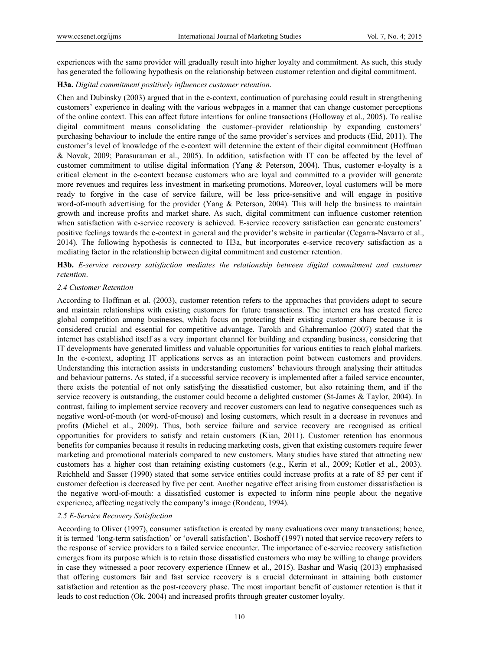experiences with the same provider will gradually result into higher loyalty and commitment. As such, this study has generated the following hypothesis on the relationship between customer retention and digital commitment.

# **H3a.** *Digital commitment positively influences customer retention*.

Chen and Dubinsky (2003) argued that in the e-context, continuation of purchasing could result in strengthening customers' experience in dealing with the various webpages in a manner that can change customer perceptions of the online context. This can affect future intentions for online transactions (Holloway et al., 2005). To realise digital commitment means consolidating the customer–provider relationship by expanding customers' purchasing behaviour to include the entire range of the same provider's services and products (Eid, 2011). The customer's level of knowledge of the e-context will determine the extent of their digital commitment (Hoffman & Novak, 2009; Parasuraman et al., 2005). In addition, satisfaction with IT can be affected by the level of customer commitment to utilise digital information (Yang & Peterson, 2004). Thus, customer e-loyalty is a critical element in the e-context because customers who are loyal and committed to a provider will generate more revenues and requires less investment in marketing promotions. Moreover, loyal customers will be more ready to forgive in the case of service failure, will be less price-sensitive and will engage in positive word-of-mouth advertising for the provider (Yang & Peterson, 2004). This will help the business to maintain growth and increase profits and market share. As such, digital commitment can influence customer retention when satisfaction with e-service recovery is achieved. E-service recovery satisfaction can generate customers' positive feelings towards the e-context in general and the provider's website in particular (Cegarra-Navarro et al., 2014). The following hypothesis is connected to H3a, but incorporates e-service recovery satisfaction as a mediating factor in the relationship between digital commitment and customer retention.

**H3b.** *E-service recovery satisfaction mediates the relationship between digital commitment and customer retention*.

#### *2.4 Customer Retention*

According to Hoffman et al. (2003), customer retention refers to the approaches that providers adopt to secure and maintain relationships with existing customers for future transactions. The internet era has created fierce global competition among businesses, which focus on protecting their existing customer share because it is considered crucial and essential for competitive advantage. Tarokh and Ghahremanloo (2007) stated that the internet has established itself as a very important channel for building and expanding business, considering that IT developments have generated limitless and valuable opportunities for various entities to reach global markets. In the e-context, adopting IT applications serves as an interaction point between customers and providers. Understanding this interaction assists in understanding customers' behaviours through analysing their attitudes and behaviour patterns. As stated, if a successful service recovery is implemented after a failed service encounter, there exists the potential of not only satisfying the dissatisfied customer, but also retaining them, and if the service recovery is outstanding, the customer could become a delighted customer (St-James & Taylor, 2004). In contrast, failing to implement service recovery and recover customers can lead to negative consequences such as negative word-of-mouth (or word-of-mouse) and losing customers, which result in a decrease in revenues and profits (Michel et al., 2009). Thus, both service failure and service recovery are recognised as critical opportunities for providers to satisfy and retain customers (Kian, 2011). Customer retention has enormous benefits for companies because it results in reducing marketing costs, given that existing customers require fewer marketing and promotional materials compared to new customers. Many studies have stated that attracting new customers has a higher cost than retaining existing customers (e.g., Kerin et al., 2009; Kotler et al., 2003). Reichheld and Sasser (1990) stated that some service entities could increase profits at a rate of 85 per cent if customer defection is decreased by five per cent. Another negative effect arising from customer dissatisfaction is the negative word-of-mouth: a dissatisfied customer is expected to inform nine people about the negative experience, affecting negatively the company's image (Rondeau, 1994).

# *2.5 E-Service Recovery Satisfaction*

According to Oliver (1997), consumer satisfaction is created by many evaluations over many transactions; hence, it is termed 'long-term satisfaction' or 'overall satisfaction'. Boshoff (1997) noted that service recovery refers to the response of service providers to a failed service encounter. The importance of e-service recovery satisfaction emerges from its purpose which is to retain those dissatisfied customers who may be willing to change providers in case they witnessed a poor recovery experience (Ennew et al., 2015). Bashar and Wasiq (2013) emphasised that offering customers fair and fast service recovery is a crucial determinant in attaining both customer satisfaction and retention as the post-recovery phase. The most important benefit of customer retention is that it leads to cost reduction (Ok, 2004) and increased profits through greater customer loyalty.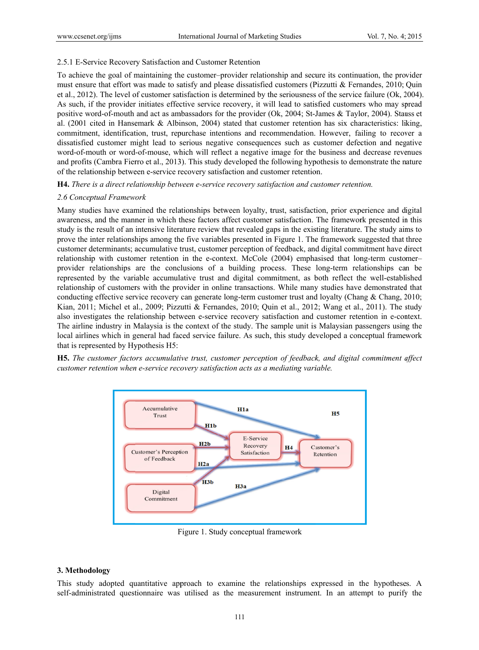# 2.5.1 E-Service Recovery Satisfaction and Customer Retention

To achieve the goal of maintaining the customer-provider relationship and secure its continuation, the provider must ensure that effort was made to satisfy and please dissatisfied customers (Pizzutti & Fernandes, 2010; Quin et al., 2012). The level of customer satisfaction is determined by the seriousness of the service failure (Ok, 2004). As such, if the provider initiates effective service recovery, it will lead to satisfied customers who may spread positive word-of-mouth and act as ambassadors for the provider (Ok, 2004; St-James & Taylor, 2004). Stauss et al. (2001 cited in Hansemark & Albinson, 2004) stated that customer retention has six characteristics: liking, commitment, identification, trust, repurchase intentions and recommendation. However, failing to recover a dissatisfied customer might lead to serious negative consequences such as customer defection and negative word-of-mouth or word-of-mouse, which will reflect a negative image for the business and decrease revenues and profits (Cambra Fierro et al., 2013). This study developed the following hypothesis to demonstrate the nature of the relationship between e-service recovery satisfaction and customer retention.

**H4.** There is a direct relationship between e-service recovery satisfaction and customer retention.

# 2.6 Conceptual Framework

Many studies have examined the relationships between lovalty, trust, satisfaction, prior experience and digital awareness, and the manner in which these factors affect customer satisfaction. The framework presented in this study is the result of an intensive literature review that revealed gaps in the existing literature. The study aims to prove the inter relationships among the five variables presented in Figure 1. The framework suggested that three customer determinants; accumulative trust, customer perception of feedback, and digital commitment have direct relationship with customer retention in the e-context. McCole (2004) emphasised that long-term customerprovider relationships are the conclusions of a building process. These long-term relationships can be represented by the variable accumulative trust and digital commitment, as both reflect the well-established relationship of customers with the provider in online transactions. While many studies have demonstrated that conducting effective service recovery can generate long-term customer trust and loyalty (Chang & Chang, 2010; Kian, 2011; Michel et al., 2009; Pizzutti & Fernandes, 2010; Quin et al., 2012; Wang et al., 2011). The study also investigates the relationship between e-service recovery satisfaction and customer retention in e-context. The airline industry in Malaysia is the context of the study. The sample unit is Malaysian passengers using the local airlines which in general had faced service failure. As such, this study developed a conceptual framework that is represented by Hypothesis H5:

**H5.** The customer factors accumulative trust, customer perception of feedback, and digital commitment affect customer retention when e-service recovery satisfaction acts as a mediating variable.



Figure 1. Study conceptual framework

# 3. Methodology

This study adopted quantitative approach to examine the relationships expressed in the hypotheses. A self-administrated questionnaire was utilised as the measurement instrument. In an attempt to purify the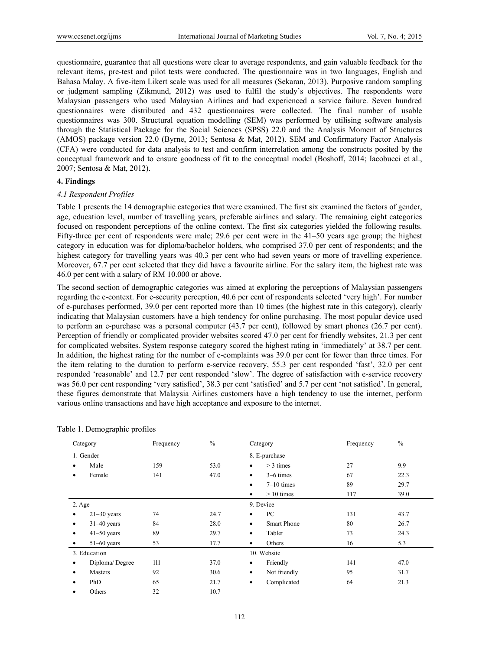questionnaire, guarantee that all questions were clear to average respondents, and gain valuable feedback for the relevant items, pre-test and pilot tests were conducted. The questionnaire was in two languages, English and Bahasa Malay. A five-item Likert scale was used for all measures (Sekaran, 2013). Purposive random sampling or judgment sampling (Zikmund, 2012) was used to fulfil the study's objectives. The respondents were Malaysian passengers who used Malaysian Airlines and had experienced a service failure. Seven hundred questionnaires were distributed and 432 questionnaires were collected. The final number of usable questionnaires was 300. Structural equation modelling (SEM) was performed by utilising software analysis through the Statistical Package for the Social Sciences (SPSS) 22.0 and the Analysis Moment of Structures (AMOS) package version 22.0 (Byrne, 2013; Sentosa & Mat, 2012). SEM and Confirmatory Factor Analysis (CFA) were conducted for data analysis to test and confirm interrelation among the constructs posited by the conceptual framework and to ensure goodness of fit to the conceptual model (Boshoff, 2014; Iacobucci et al., 2007; Sentosa & Mat, 2012).

# **4. Findings**

## *4.1 Respondent Profiles*

Table 1 presents the 14 demographic categories that were examined. The first six examined the factors of gender, age, education level, number of travelling years, preferable airlines and salary. The remaining eight categories focused on respondent perceptions of the online context. The first six categories yielded the following results. Fifty-three per cent of respondents were male; 29.6 per cent were in the 41–50 years age group; the highest category in education was for diploma/bachelor holders, who comprised 37.0 per cent of respondents; and the highest category for travelling years was 40.3 per cent who had seven years or more of travelling experience. Moreover, 67.7 per cent selected that they did have a favourite airline. For the salary item, the highest rate was 46.0 per cent with a salary of RM 10.000 or above.

The second section of demographic categories was aimed at exploring the perceptions of Malaysian passengers regarding the e-context. For e-security perception, 40.6 per cent of respondents selected 'very high'. For number of e-purchases performed, 39.0 per cent reported more than 10 times (the highest rate in this category), clearly indicating that Malaysian customers have a high tendency for online purchasing. The most popular device used to perform an e-purchase was a personal computer (43.7 per cent), followed by smart phones (26.7 per cent). Perception of friendly or complicated provider websites scored 47.0 per cent for friendly websites, 21.3 per cent for complicated websites. System response category scored the highest rating in 'immediately' at 38.7 per cent. In addition, the highest rating for the number of e-complaints was 39.0 per cent for fewer than three times. For the item relating to the duration to perform e-service recovery, 55.3 per cent responded 'fast', 32.0 per cent responded 'reasonable' and 12.7 per cent responded 'slow'. The degree of satisfaction with e-service recovery was 56.0 per cent responding 'very satisfied', 38.3 per cent 'satisfied' and 5.7 per cent 'not satisfied'. In general, these figures demonstrate that Malaysia Airlines customers have a high tendency to use the internet, perform various online transactions and have high acceptance and exposure to the internet.

| Category        |                | Frequency     | $\%$ | Category                        | Frequency | $\frac{0}{0}$ |
|-----------------|----------------|---------------|------|---------------------------------|-----------|---------------|
| 1. Gender       |                | 8. E-purchase |      |                                 |           |               |
| ٠               | Male           | 159           | 53.0 | $>$ 3 times<br>$\bullet$        | 27        | 9.9           |
|                 | Female         | 141           | 47.0 | 3–6 times<br>$\bullet$          | 67        | 22.3          |
|                 |                |               |      | $7-10$ times<br>$\bullet$       | 89        | 29.7          |
|                 |                |               |      | $> 10$ times<br>$\bullet$       | 117       | 39.0          |
| $2. \text{Age}$ |                |               |      | 9. Device                       |           |               |
|                 | $21-30$ years  | 74            | 24.7 | PC<br>٠                         | 131       | 43.7          |
| ٠               | $31-40$ years  | 84            | 28.0 | <b>Smart Phone</b><br>$\bullet$ | 80        | 26.7          |
| ٠               | $41-50$ years  | 89            | 29.7 | Tablet<br>٠                     | 73        | 24.3          |
|                 | $51-60$ years  | 53            | 17.7 | Others<br>$\bullet$             | 16        | 5.3           |
|                 | 3. Education   |               |      | 10. Website                     |           |               |
| ٠               | Diploma/Degree | 111           | 37.0 | Friendly<br>$\bullet$           | 141       | 47.0          |
|                 | Masters        | 92            | 30.6 | Not friendly<br>$\bullet$       | 95        | 31.7          |
| ٠               | PhD            | 65            | 21.7 | Complicated<br>$\bullet$        | 64        | 21.3          |
|                 | Others         | 32            | 10.7 |                                 |           |               |

Table 1. Demographic profiles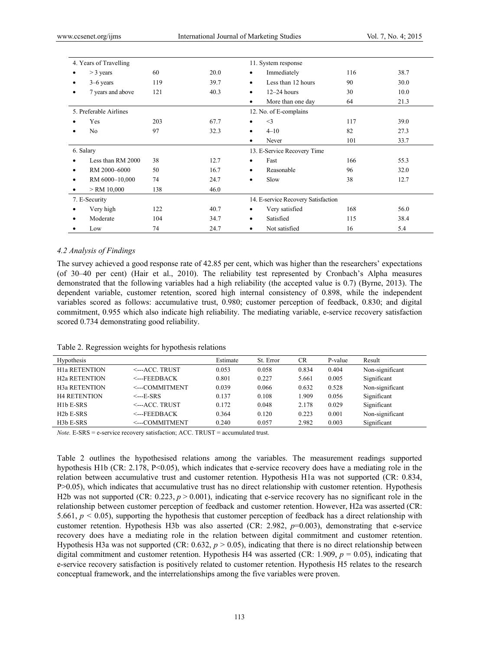|   | 4. Years of Travelling                   |     |      |                                     | 11. System response |     |      |
|---|------------------------------------------|-----|------|-------------------------------------|---------------------|-----|------|
|   | $>$ 3 years                              | 60  | 20.0 | $\bullet$                           | Immediately         | 116 | 38.7 |
| ٠ | $3-6$ years                              | 119 | 39.7 | $\bullet$                           | Less than 12 hours  | 90  | 30.0 |
|   | 7 years and above                        | 121 | 40.3 | ٠                                   | $12-24$ hours       | 30  | 10.0 |
|   |                                          |     |      | ٠                                   | More than one day   | 64  | 21.3 |
|   | 5. Preferable Airlines                   |     |      | 12. No. of E-complains              |                     |     |      |
|   | Yes                                      | 203 | 67.7 | ٠                                   | $\leq$ 3            | 117 | 39.0 |
| ٠ | No                                       | 97  | 32.3 | ٠                                   | $4 - 10$            | 82  | 27.3 |
|   |                                          |     |      | ٠                                   | Never               | 101 | 33.7 |
|   | 6. Salary<br>13. E-Service Recovery Time |     |      |                                     |                     |     |      |
|   | Less than RM 2000                        | 38  | 12.7 | ٠                                   | Fast                | 166 | 55.3 |
| ٠ | RM 2000-6000                             | 50  | 16.7 | ٠                                   | Reasonable          | 96  | 32.0 |
| ٠ | RM 6000-10,000                           | 74  | 24.7 | $\bullet$                           | Slow                | 38  | 12.7 |
|   | $>$ RM 10,000                            | 138 | 46.0 |                                     |                     |     |      |
|   | 7. E-Security                            |     |      | 14. E-service Recovery Satisfaction |                     |     |      |
|   | Very high                                | 122 | 40.7 | $\bullet$                           | Very satisfied      | 168 | 56.0 |
|   | Moderate                                 | 104 | 34.7 | ٠                                   | Satisfied           | 115 | 38.4 |
|   | Low                                      | 74  | 24.7 | ٠                                   | Not satisfied       | 16  | 5.4  |

#### *4.2 Analysis of Findings*

The survey achieved a good response rate of 42.85 per cent, which was higher than the researchers' expectations (of 30–40 per cent) (Hair et al., 2010). The reliability test represented by Cronbach's Alpha measures demonstrated that the following variables had a high reliability (the accepted value is 0.7) (Byrne, 2013). The dependent variable, customer retention, scored high internal consistency of 0.898, while the independent variables scored as follows: accumulative trust, 0.980; customer perception of feedback, 0.830; and digital commitment, 0.955 which also indicate high reliability. The mediating variable, e-service recovery satisfaction scored 0.734 demonstrating good reliability.

Table 2. Regression weights for hypothesis relations

| Hypothesis             |                                     | Estimate | St. Error | CR    | P-value | Result          |
|------------------------|-------------------------------------|----------|-----------|-------|---------|-----------------|
| <b>H1a RETENTION</b>   | $\leftarrow$ ACC. TRUST             | 0.053    | 0.058     | 0.834 | 0.404   | Non-significant |
| <b>H2a RETENTION</b>   | $\leq$ --FEEDBACK                   | 0.801    | 0.227     | 5.661 | 0.005   | Significant     |
| <b>H3a RETENTION</b>   | <---COMMITMENT                      | 0.039    | 0.066     | 0.632 | 0.528   | Non-significant |
| <b>H4 RETENTION</b>    | $\leftarrow$ --E-SRS                | 0.137    | 0.108     | - 909 | 0.056   | Significant     |
| $H1bE-SRS$             | $\leftarrow$ - $\text{ACC}$ . TRUST | 0.172    | 0.048     | 2.178 | 0.029   | Significant     |
| H <sub>2</sub> b E-SRS | $\leq$ --FEEDBACK                   | 0.364    | 0.120     | 0.223 | 0.001   | Non-significant |
| H <sub>3</sub> b E-SRS | <---COMMITMENT                      | 0.240    | 0.057     | 2.982 | 0.003   | Significant     |

*Note.* E-SRS = e-service recovery satisfaction; ACC. TRUST = accumulated trust.

Table 2 outlines the hypothesised relations among the variables. The measurement readings supported hypothesis H1b (CR: 2.178, P<0.05), which indicates that e-service recovery does have a mediating role in the relation between accumulative trust and customer retention. Hypothesis H1a was not supported (CR: 0.834, P>0.05), which indicates that accumulative trust has no direct relationship with customer retention. Hypothesis H2b was not supported (CR: 0.223,  $p > 0.001$ ), indicating that e-service recovery has no significant role in the relationship between customer perception of feedback and customer retention. However, H2a was asserted (CR: 5.661, *p <* 0.05), supporting the hypothesis that customer perception of feedback has a direct relationship with customer retention. Hypothesis H3b was also asserted (CR: 2.982, *p*=0.003), demonstrating that e-service recovery does have a mediating role in the relation between digital commitment and customer retention. Hypothesis H3a was not supported (CR:  $0.632$ ,  $p > 0.05$ ), indicating that there is no direct relationship between digital commitment and customer retention. Hypothesis H4 was asserted (CR: 1.909, *p* = 0.05), indicating that e-service recovery satisfaction is positively related to customer retention. Hypothesis H5 relates to the research conceptual framework, and the interrelationships among the five variables were proven.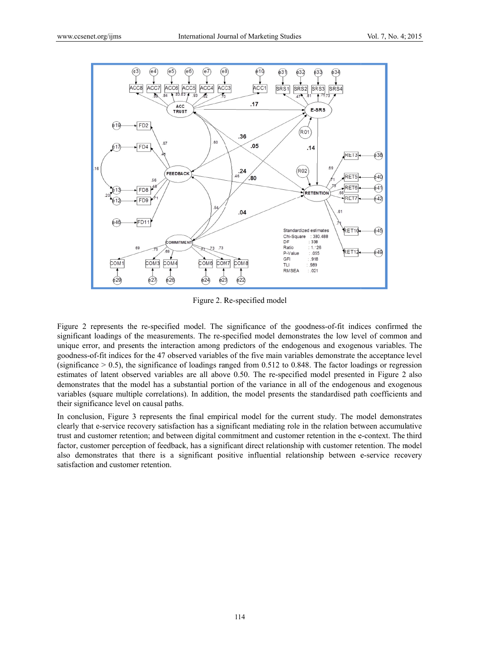

Figure 2. Re-specified model

Figure 2 represents the re-specified model. The significance of the goodness-of-fit indices confirmed the significant loadings of the measurements. The re-specified model demonstrates the low level of common and unique error, and presents the interaction among predictors of the endogenous and exogenous variables. The goodness-of-fit indices for the 47 observed variables of the five main variables demonstrate the acceptance level (significance  $> 0.5$ ), the significance of loadings ranged from 0.512 to 0.848. The factor loadings or regression estimates of latent observed variables are all above 0.50. The re-specified model presented in Figure 2 also demonstrates that the model has a substantial portion of the variance in all of the endogenous and exogenous variables (square multiple correlations). In addition, the model presents the standardised path coefficients and their significance level on causal paths.

In conclusion, Figure 3 represents the final empirical model for the current study. The model demonstrates clearly that e-service recovery satisfaction has a significant mediating role in the relation between accumulative trust and customer retention; and between digital commitment and customer retention in the e-context. The third factor, customer perception of feedback, has a significant direct relationship with customer retention. The model also demonstrates that there is a significant positive influential relationship between e-service recovery satisfaction and customer retention.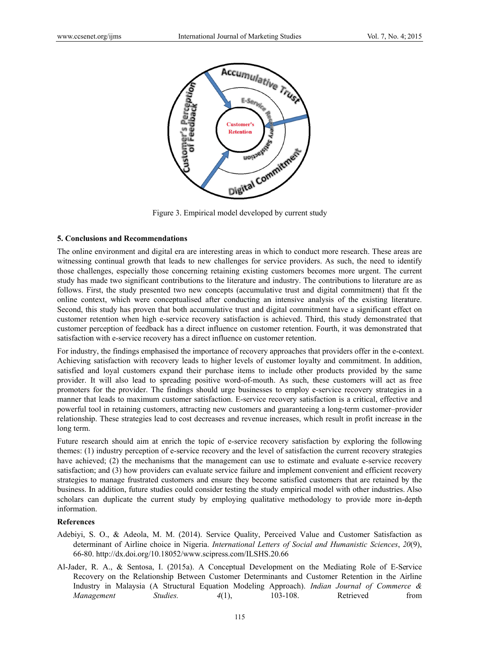

Figure 3. Empirical model developed by current study

## **5. Conclusions and Recommendations**

The online environment and digital era are interesting areas in which to conduct more research. These areas are witnessing continual growth that leads to new challenges for service providers. As such, the need to identify those challenges, especially those concerning retaining existing customers becomes more urgent. The current study has made two significant contributions to the literature and industry. The contributions to literature are as follows. First, the study presented two new concepts (accumulative trust and digital commitment) that fit the online context, which were conceptualised after conducting an intensive analysis of the existing literature. Second, this study has proven that both accumulative trust and digital commitment have a significant effect on customer retention when high e-service recovery satisfaction is achieved. Third, this study demonstrated that customer perception of feedback has a direct influence on customer retention. Fourth, it was demonstrated that satisfaction with e-service recovery has a direct influence on customer retention.

For industry, the findings emphasised the importance of recovery approaches that providers offer in the e-context. Achieving satisfaction with recovery leads to higher levels of customer loyalty and commitment. In addition, satisfied and loyal customers expand their purchase items to include other products provided by the same provider. It will also lead to spreading positive word-of-mouth. As such, these customers will act as free promoters for the provider. The findings should urge businesses to employ e-service recovery strategies in a manner that leads to maximum customer satisfaction. E-service recovery satisfaction is a critical, effective and powerful tool in retaining customers, attracting new customers and guaranteeing a long-term customer-provider relationship. These strategies lead to cost decreases and revenue increases, which result in profit increase in the long term.

Future research should aim at enrich the topic of e-service recovery satisfaction by exploring the following themes: (1) industry perception of e-service recovery and the level of satisfaction the current recovery strategies have achieved; (2) the mechanisms that the management can use to estimate and evaluate e-service recovery satisfaction; and (3) how providers can evaluate service failure and implement convenient and efficient recovery strategies to manage frustrated customers and ensure they become satisfied customers that are retained by the business. In addition, future studies could consider testing the study empirical model with other industries. Also scholars can duplicate the current study by employing qualitative methodology to provide more in-depth information.

# **References**

- Adebiyi, S. O., & Adeola, M. M. (2014). Service Quality, Perceived Value and Customer Satisfaction as determinant of Airline choice in Nigeria. International Letters of Social and Humanistic Sciences, 20(9), 66-80. http://dx.doi.org/10.18052/www.scipress.com/ILSHS.20.66
- Al-Jader, R. A., & Sentosa, I. (2015a). A Conceptual Development on the Mediating Role of E-Service Recovery on the Relationship Between Customer Determinants and Customer Retention in the Airline Industry in Malaysia (A Structural Equation Modeling Approach). Indian Journal of Commerce & Management Studies.  $4(1)$ ,  $103 - 108$ . Retrieved from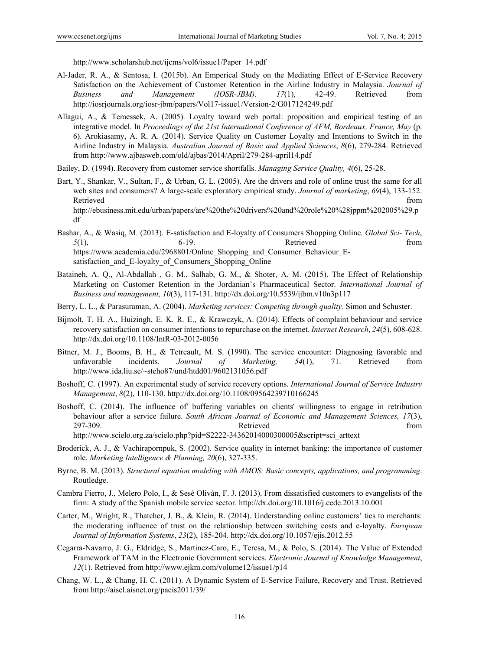http://www.scholarshub.net/ijcms/vol6/issue1/Paper\_14.pdf

- Al-Jader, R. A., & Sentosa, I. (2015b). An Emperical Study on the Mediating Effect of E-Service Recovery Satisfaction on the Achievement of Customer Retention in the Airline Industry in Malaysia. *Journal of Business and Management (IOSR-JBM). 17*(1), 42-49. Retrieved from http://iosrjournals.org/iosr-jbm/papers/Vol17-issue1/Version-2/G017124249.pdf
- Allagui, A., & Temessek, A. (2005). Loyalty toward web portal: proposition and empirical testing of an integrative model. In *Proceedings of the 21st International Conference of AFM, Bordeaux, France, May* (p. 6). Arokiasamy, A. R. A. (2014). Service Quality on Customer Loyalty and Intentions to Switch in the Airline Industry in Malaysia. *Australian Journal of Basic and Applied Sciences*, *8*(6), 279-284. Retrieved from http://www.ajbasweb.com/old/ajbas/2014/April/279-284-april14.pdf
- Bailey, D. (1994). Recovery from customer service shortfalls. *Managing Service Quality, 4*(6), 25-28.
- Bart, Y., Shankar, V., Sultan, F., & Urban, G. L. (2005). Are the drivers and role of online trust the same for all web sites and consumers? A large-scale exploratory empirical study. *Journal of marketing*, *69*(4), 133-152. Retrieved that the contract of the contract of the contract of the contract of the contract of the contract of the contract of the contract of the contract of the contract of the contract of the contract of the contract of http://ebusiness.mit.edu/urban/papers/are%20the%20drivers%20and%20role%20%28jppm%202005%29.p df
- Bashar, A., & Wasiq, M. (2013). E-satisfaction and E-loyalty of Consumers Shopping Online. *Global Sci- Tech*, *5*(1), 6-19. Retrieved from https://www.academia.edu/2968801/Online\_Shopping\_and\_Consumer\_Behaviour\_Esatisfaction and E-loyalty of Consumers Shopping Online
- Bataineh, A. Q., Al-Abdallah , G. M., Salhab, G. M., & Shoter, A. M. (2015). The Effect of Relationship Marketing on Customer Retention in the Jordanian's Pharmaceutical Sector. *International Journal of Business and management, 10*(3), 117-131. http://dx.doi.org/10.5539/ijbm.v10n3p117
- Berry, L. L., & Parasuraman, A. (2004). *Marketing services: Competing through quality*. Simon and Schuster.
- Bijmolt, T. H. A., Huizingh, E. K. R. E., & Krawczyk, A. (2014). Effects of complaint behaviour and service recovery satisfaction on consumer intentions to repurchase on the internet. *Internet Research*, *24*(5), 608-628. http://dx.doi.org/10.1108/IntR-03-2012-0056
- Bitner, M. J., Booms, B. H., & Tetreault, M. S. (1990). The service encounter: Diagnosing favorable and unfavorable incidents. *Journal of Marketing, 54*(1), 71. Retrieved from http://www.ida.liu.se/~steho87/und/htdd01/9602131056.pdf
- Boshoff, C. (1997). An experimental study of service recovery options. *International Journal of Service Industry Management*, *8*(2), 110-130. http://dx.doi.org/10.1108/09564239710166245
- Boshoff, C. (2014). The influence of' buffering variables on clients' willingness to engage in retribution behaviour after a service failure. *South African Journal of Economic and Management Sciences, 17*(3), 297-309. Retrieved from http://www.scielo.org.za/scielo.php?pid=S2222-34362014000300005&script=sci\_arttext
	-
- Broderick, A. J., & Vachirapornpuk, S. (2002). Service quality in internet banking: the importance of customer role. *Marketing Intelligence & Planning, 20*(6), 327-335.
- Byrne, B. M. (2013). *Structural equation modeling with AMOS: Basic concepts, applications, and programming*. Routledge.
- Cambra Fierro, J., Melero Polo, I., & Sesé Oliván, F. J. (2013). From dissatisfied customers to evangelists of the firm: A study of the Spanish mobile service sector. http://dx.doi.org/10.1016/j.cede.2013.10.001
- Carter, M., Wright, R., Thatcher, J. B., & Klein, R. (2014). Understanding online customers' ties to merchants: the moderating influence of trust on the relationship between switching costs and e-loyalty. *European Journal of Information Systems*, *23*(2), 185-204. http://dx.doi.org/10.1057/ejis.2012.55
- Cegarra-Navarro, J. G., Eldridge, S., Martinez-Caro, E., Teresa, M., & Polo, S. (2014). The Value of Extended Framework of TAM in the Electronic Government services. *Electronic Journal of Knowledge Management*, *12*(1). Retrieved from http://www.ejkm.com/volume12/issue1/p14
- Chang, W. L., & Chang, H. C. (2011). A Dynamic System of E-Service Failure, Recovery and Trust. Retrieved from http://aisel.aisnet.org/pacis2011/39/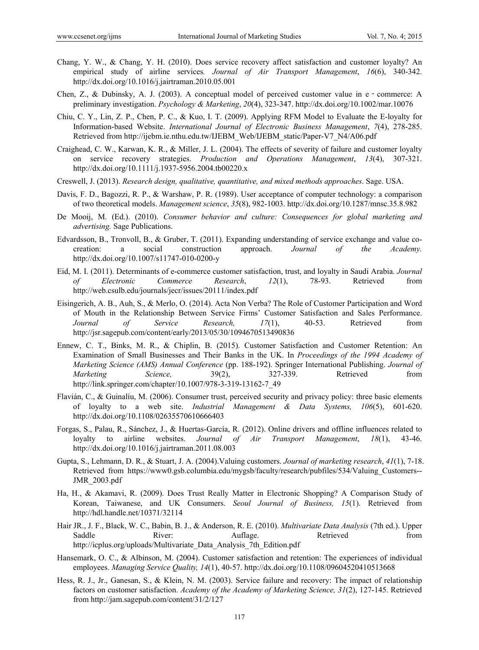- Chang, Y. W., & Chang, Y. H. (2010). Does service recovery affect satisfaction and customer loyalty? An empirical study of airline services*. Journal of Air Transport Management*, *16*(6), 340-342. http://dx.doi.org/10.1016/j.jairtraman.2010.05.001
- Chen, Z., & Dubinsky, A. J. (2003). A conceptual model of perceived customer value in e‐commerce: A preliminary investigation. *Psychology & Marketing*, *20*(4), 323-347. http://dx.doi.org/10.1002/mar.10076
- Chiu, C. Y., Lin, Z. P., Chen, P. C., & Kuo, I. T. (2009). Applying RFM Model to Evaluate the E-loyalty for Information-based Website. *International Journal of Electronic Business Management*, *7*(4), 278-285. Retrieved from http://ijebm.ie.nthu.edu.tw/IJEBM\_Web/IJEBM\_static/Paper-V7\_N4/A06.pdf
- Craighead, C. W., Karwan, K. R., & Miller, J. L. (2004). The effects of severity of failure and customer loyalty on service recovery strategies. *Production and Operations Management*, *13*(4), 307-321. http://dx.doi.org/10.1111/j.1937-5956.2004.tb00220.x
- Creswell, J. (2013). *Research design, qualitative, quantitative, and mixed methods approaches*. Sage. USA.
- Davis, F. D., Bagozzi, R. P., & Warshaw, P. R. (1989). User acceptance of computer technology: a comparison of two theoretical models. *Management science*, *35*(8), 982-1003. http://dx.doi.org/10.1287/mnsc.35.8.982
- De Mooij, M. (Ed.). (2010). *Consumer behavior and culture: Consequences for global marketing and advertising.* Sage Publications.
- Edvardsson, B., Tronvoll, B., & Gruber, T. (2011). Expanding understanding of service exchange and value cocreation: a social construction approach. *Journal of the Academy.* http://dx.doi.org/10.1007/s11747-010-0200-y
- Eid, M. I. (2011). Determinants of e-commerce customer satisfaction, trust, and loyalty in Saudi Arabia. *Journal of Electronic Commerce Research*, *12*(1), 78-93. Retrieved from http://web.csulb.edu/journals/jecr/issues/20111/index.pdf
- Eisingerich, A. B., Auh, S., & Merlo, O. (2014). Acta Non Verba? The Role of Customer Participation and Word of Mouth in the Relationship Between Service Firms' Customer Satisfaction and Sales Performance. *Journal of Service Research, 17*(1), 40-53. Retrieved from http://jsr.sagepub.com/content/early/2013/05/30/1094670513490836
- Ennew, C. T., Binks, M. R., & Chiplin, B. (2015). Customer Satisfaction and Customer Retention: An Examination of Small Businesses and Their Banks in the UK. In *Proceedings of the 1994 Academy of Marketing Science (AMS) Annual Conference* (pp. 188-192). Springer International Publishing. *Journal of Marketing Science,* 39(2), 327-339. Retrieved from http://link.springer.com/chapter/10.1007/978-3-319-13162-7\_49
- Flavián, C., & Guinalíu, M. (2006). Consumer trust, perceived security and privacy policy: three basic elements of loyalty to a web site. *Industrial Management & Data Systems, 106*(5), 601-620. http://dx.doi.org/10.1108/02635570610666403
- Forgas, S., Palau, R., Sánchez, J., & Huertas-García, R. (2012). Online drivers and offline influences related to loyalty to airline websites. *Journal of Air Transport Management*, *18*(1), 43-46. http://dx.doi.org/10.1016/j.jairtraman.2011.08.003
- Gupta, S., Lehmann, D. R., & Stuart, J. A. (2004).Valuing customers. *Journal of marketing research*, *41*(1), 7-18. Retrieved from https://www0.gsb.columbia.edu/mygsb/faculty/research/pubfiles/534/Valuing\_Customers-- JMR\_2003.pdf
- Ha, H., & Akamavi, R. (2009). Does Trust Really Matter in Electronic Shopping? A Comparison Study of Korean, Taiwanese, and UK Consumers. *Seoul Journal of Business, 15*(1). Retrieved from http://hdl.handle.net/10371/32114
- Hair JR., J. F., Black, W. C., Babin, B. J., & Anderson, R. E. (2010). *Multivariate Data Analysis* (7th ed.). Upper Saddle **River:** Auflage. Retrieved from http://icplus.org/uploads/Multivariate\_Data\_Analysis\_7th\_Edition.pdf
- Hansemark, O. C., & Albinson, M. (2004). Customer satisfaction and retention: The experiences of individual employees. *Managing Service Quality, 14*(1), 40-57. http://dx.doi.org/10.1108/09604520410513668
- Hess, R. J., Jr., Ganesan, S., & Klein, N. M. (2003). Service failure and recovery: The impact of relationship factors on customer satisfaction. *Academy of the Academy of Marketing Science, 31*(2), 127-145. Retrieved from http://jam.sagepub.com/content/31/2/127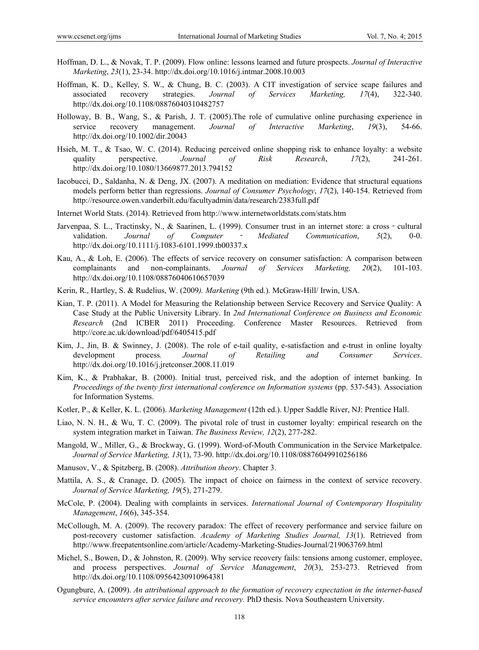- Hoffman, D. L., & Novak, T. P. (2009). Flow online: lessons learned and future prospects. *Journal of Interactive Marketing*, *23*(1), 23-34. http://dx.doi.org/10.1016/j.intmar.2008.10.003
- Hoffman, K. D., Kelley, S. W., & Chung, B. C. (2003). A CIT investigation of service scape failures and associated recovery strategies. *Journal of Services Marketing, 17*(4), 322-340. http://dx.doi.org/10.1108/08876040310482757
- Holloway, B. B., Wang, S., & Parish, J. T. (2005).The role of cumulative online purchasing experience in service recovery management. *Journal of Interactive Marketing*, *19*(3), 54-66. http://dx.doi.org/10.1002/dir.20043
- Hsieh, M. T., & Tsao, W. C. (2014). Reducing perceived online shopping risk to enhance loyalty: a website quality perspective. *Journal of Risk Research*, *17*(2), 241-261. http://dx.doi.org/10.1080/13669877.2013.794152
- Iacobucci, D., Saldanha, N. & Deng, JX. (2007). A meditation on mediation: Evidence that structural equations models perform better than regressions. *Journal of Consumer Psychology*, *17*(2), 140-154. Retrieved from http://resource.owen.vanderbilt.edu/facultyadmin/data/research/2383full.pdf
- Internet World Stats. (2014). Retrieved from http://www.internetworldstats.com/stats.htm
- Jarvenpaa, S. L., Tractinsky, N., & Saarinen, L. (1999). Consumer trust in an internet store: a cross cultural validation. *Journal of Computer* ‐ *Mediated Communication*, *5*(2), 0-0. http://dx.doi.org/10.1111/j.1083-6101.1999.tb00337.x
- Kau, A., & Loh, E. (2006). The effects of service recovery on consumer satisfaction: A comparison between complainants and non-complainants. *Journal of Services Marketing, 20*(2), 101-103. http://dx.doi.org/10.1108/08876040610657039
- Kerin, R., Hartley, S. & Rudelius, W. (2009*). Marketing* (9th ed.). McGraw-Hill/ Irwin, USA.
- Kian, T. P. (2011). A Model for Measuring the Relationship between Service Recovery and Service Quality: A Case Study at the Public University Library. In *2nd International Conference on Business and Economic Research* (2nd ICBER 2011) Proceeding. Conference Master Resources. Retrieved from http://core.ac.uk/download/pdf/6405415.pdf
- Kim, J., Jin, B. & Swinney, J. (2008). The role of e-tail quality, e-satisfaction and e-trust in online loyalty development process*. Journal of Retailing and Consumer Services*. http://dx.doi.org/10.1016/j.jretconser.2008.11.019
- Kim, K., & Prabhakar, B. (2000). Initial trust, perceived risk, and the adoption of internet banking. In *Proceedings of the twenty first international conference on Information systems* (pp. 537-543). Association for Information Systems.
- Kotler, P., & Keller, K. L. (2006). *Marketing Management* (12th ed.). Upper Saddle River, NJ: Prentice Hall.
- Liao, N. N. H., & Wu, T. C. (2009). The pivotal role of trust in customer loyalty: empirical research on the system integration market in Taiwan. *The Business Review, 12*(2), 277-282.
- Mangold, W., Miller, G., & Brockway, G. (1999). Word-of-Mouth Communication in the Service Marketpalce. *Journal of Service Marketing, 13*(1), 73-90. http://dx.doi.org/10.1108/08876049910256186
- Manusov, V., & Spitzberg, B. (2008). *Attribution theory*. Chapter 3.
- Mattila, A. S., & Cranage, D. (2005). The impact of choice on fairness in the context of service recovery. *Journal of Service Marketing, 19*(5), 271-279.
- McCole, P. (2004). Dealing with complaints in services. *International Journal of Contemporary Hospitality Management*, *16*(6), 345-354.
- McCollough, M. A. (2009). The recovery paradox: The effect of recovery performance and service failure on post-recovery customer satisfaction. *Academy of Marketing Studies Journal, 13*(1). Retrieved from http://www.freepatentsonline.com/article/Academy-Marketing-Studies-Journal/219063769.html
- Michel, S., Bowen, D., & Johnston, R. (2009). Why service recovery fails: tensions among customer, employee, and process perspectives. *Journal of Service Management*, *20*(3), 253-273. Retrieved from http://dx.doi.org/10.1108/09564230910964381
- Ogungbure, A. (2009). *An attributional approach to the formation of recovery expectation in the internet-based service encounters after service failure and recovery.* PhD thesis. Nova Southeastern University.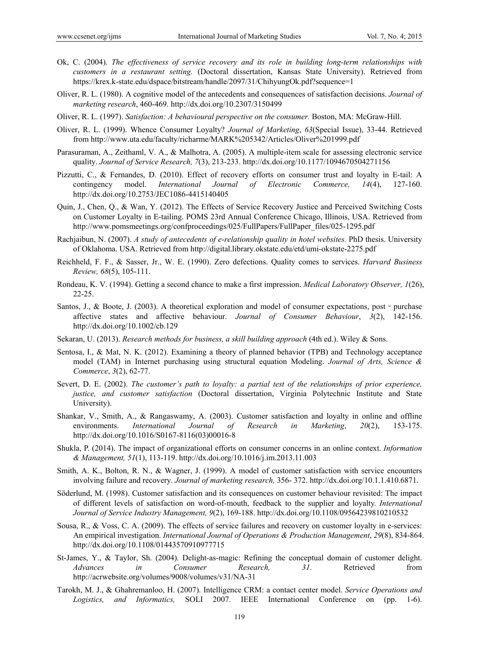- Ok, C. (2004). *The effectiveness of service recovery and its role in building long-term relationships with customers in a restaurant setting.* (Doctoral dissertation, Kansas State University). Retrieved from https://krex.k-state.edu/dspace/bitstream/handle/2097/31/ChihyungOk.pdf?sequence=1
- Oliver, R. L. (1980). A cognitive model of the antecedents and consequences of satisfaction decisions. *Journal of marketing research*, 460-469. http://dx.doi.org/10.2307/3150499
- Oliver, R. L. (1997). *Satisfaction: A behavioural perspective on the consumer.* Boston, MA: McGraw-Hill.
- Oliver, R. L. (1999). Whence Consumer Loyalty? *Journal of Marketing*, *63*(Special Issue), 33-44. Retrieved from http://www.uta.edu/faculty/richarme/MARK%205342/Articles/Oliver%201999.pdf
- Parasuraman, A., Zeithaml, V. A., & Malhotra, A. (2005). A multiple-item scale for assessing electronic service quality. *Journal of Service Research, 7*(3), 213-233. http://dx.doi.org/10.1177/1094670504271156
- Pizzutti, C., & Fernandes, D. (2010). Effect of recovery efforts on consumer trust and loyalty in E-tail: A contingency model. *International Journal of Electronic Commerce, 14*(4), 127-160. http://dx.doi.org/10.2753/JEC1086-4415140405
- Quin, J., Chen, Q., & Wan, Y. (2012). The Effects of Service Recovery Justice and Perceived Switching Costs on Customer Loyalty in E-tailing. POMS 23rd Annual Conference Chicago, Illinois, USA. Retrieved from http://www.pomsmeetings.org/confproceedings/025/FullPapers/FullPaper\_files/025-1295.pdf
- Rachjaibun, N. (2007). *A study of antecedents of e-relationship quality in hotel websites.* PhD thesis. University of Oklahoma. USA. Retrieved from http://digital.library.okstate.edu/etd/umi-okstate-2275.pdf
- Reichheld, F. F., & Sasser, Jr., W. E. (1990). Zero defections. Quality comes to services. *Harvard Business Review, 68*(5), 105-111.
- Rondeau, K. V. (1994). Getting a second chance to make a first impression. *Medical Laboratory Observer, 1*(26), 22-25.
- Santos, J., & Boote, J. (2003). A theoretical exploration and model of consumer expectations, post purchase affective states and affective behaviour. *Journal of Consumer Behaviour*, *3*(2), 142-156. http://dx.doi.org/10.1002/cb.129
- Sekaran, U. (2013). *Research methods for business, a skill building approach* (4th ed.). Wiley & Sons.
- Sentosa, I., & Mat, N. K. (2012). Examining a theory of planned behavior (TPB) and Technology acceptance model (TAM) in Internet purchasing using structural equation Modeling. *Journal of Arts, Science & Commerce*, *3*(2), 62-77.
- Severt, D. E. (2002). *The customer's path to loyalty: a partial test of the relationships of prior experience, justice, and customer satisfaction* (Doctoral dissertation, Virginia Polytechnic Institute and State University).
- Shankar, V., Smith, A., & Rangaswamy, A. (2003). Customer satisfaction and loyalty in online and offline environments. *International Journal of Research in Marketing*, *20*(2), 153-175. http://dx.doi.org/10.1016/S0167-8116(03)00016-8
- Shukla, P. (2014). The impact of organizational efforts on consumer concerns in an online context. *Information & Management, 51*(1), 113-119. http://dx.doi.org/10.1016/j.im.2013.11.003
- Smith, A. K., Bolton, R. N., & Wagner, J. (1999). A model of customer satisfaction with service encounters involving failure and recovery. *Journal of marketing research,* 356- 372. http://dx.doi.org/10.1.1.410.6871.
- Söderlund, M. (1998). Customer satisfaction and its consequences on customer behaviour revisited: The impact of different levels of satisfaction on word-of-mouth, feedback to the supplier and loyalty. *International Journal of Service Industry Management, 9*(2), 169-188. http://dx.doi.org/10.1108/09564239810210532
- Sousa, R., & Voss, C. A. (2009). The effects of service failures and recovery on customer loyalty in e-services: An empirical investigation. *International Journal of Operations & Production Management*, *29*(8), 834-864. http://dx.doi.org/10.1108/01443570910977715
- St-James, Y., & Taylor, Sh. (2004). Delight-as-magic: Refining the conceptual domain of customer delight. *Advances in Consumer Research, 31*. Retrieved from http://acrwebsite.org/volumes/9008/volumes/v31/NA-31
- Tarokh, M. J., & Ghahremanloo, H. (2007). Intelligence CRM: a contact center model. *Service Operations and Logistics, and Informatics,* SOLI 2007. IEEE International Conference on (pp. 1-6).